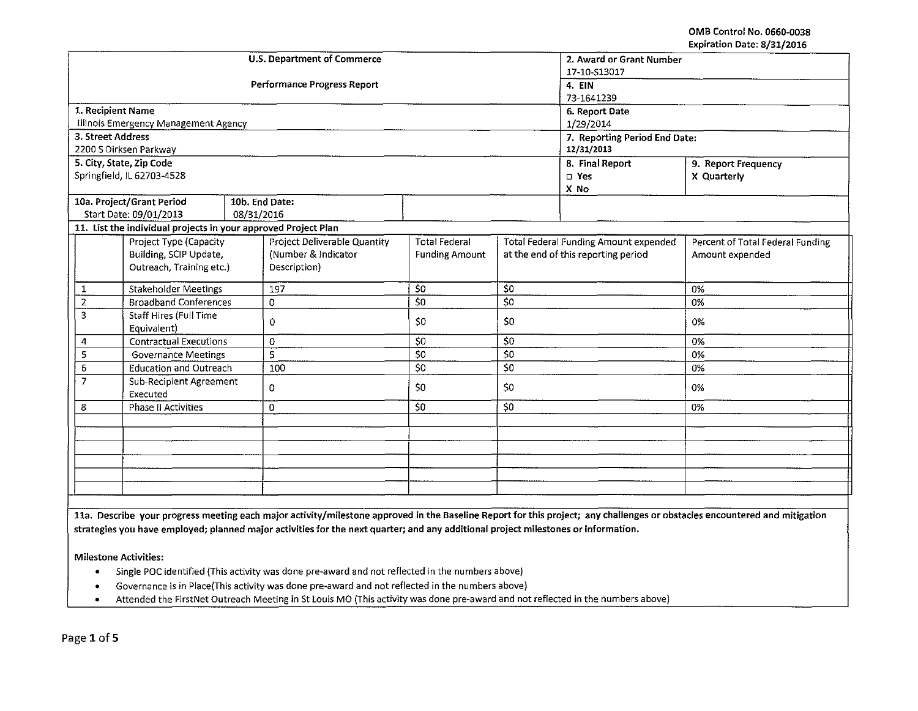OMB Control No. 0660-0038 Expiration Date: 8/31/2016

|                |                                                                |            | <b>U.S. Department of Commerce</b> | 2. Award or Grant Number      |                                              |                 |                                  |  |
|----------------|----------------------------------------------------------------|------------|------------------------------------|-------------------------------|----------------------------------------------|-----------------|----------------------------------|--|
|                |                                                                |            |                                    | 17-10-S13017                  |                                              |                 |                                  |  |
|                |                                                                |            | Performance Progress Report        | 4. EIN                        |                                              |                 |                                  |  |
|                |                                                                |            |                                    | 73-1641239                    |                                              |                 |                                  |  |
|                | 1. Recipient Name                                              |            |                                    | 6. Report Date                |                                              |                 |                                  |  |
|                | Illinois Emergency Management Agency                           |            |                                    | 1/29/2014                     |                                              |                 |                                  |  |
|                | 3. Street Address                                              |            |                                    | 7. Reporting Period End Date: |                                              |                 |                                  |  |
|                | 2200 S Dirksen Parkway                                         |            |                                    | 12/31/2013                    |                                              |                 |                                  |  |
|                | 5. City, State, Zip Code                                       |            |                                    |                               |                                              | 8. Final Report | 9. Report Frequency              |  |
|                | Springfield, IL 62703-4528                                     |            |                                    |                               |                                              | $\n  Yes\n$     | X Quarterly                      |  |
|                |                                                                |            |                                    |                               |                                              | X No            |                                  |  |
|                | 10a. Project/Grant Period                                      |            | 10b. End Date:                     |                               |                                              |                 |                                  |  |
|                | Start Date: 09/01/2013                                         | 08/31/2016 |                                    |                               |                                              |                 |                                  |  |
|                | 11. List the individual projects in your approved Project Plan |            |                                    |                               |                                              |                 |                                  |  |
|                | Project Type (Capacity                                         |            | Project Deliverable Quantity       | <b>Total Federal</b>          | <b>Total Federal Funding Amount expended</b> |                 | Percent of Total Federal Funding |  |
|                | Building, SCIP Update,                                         |            | (Number & Indicator                | <b>Funding Amount</b>         | at the end of this reporting period          |                 | Amount expended                  |  |
|                | Outreach, Training etc.)                                       |            | Description)                       |                               |                                              |                 |                                  |  |
|                |                                                                |            |                                    |                               |                                              |                 |                                  |  |
| $\mathbf{1}$   | <b>Stakeholder Meetings</b>                                    |            | 197                                | \$0                           | \$0                                          |                 | 0%                               |  |
| $\overline{2}$ | <b>Broadband Conferences</b>                                   |            | 0                                  | 50                            | 50                                           |                 | 0%                               |  |
| 3              | Staff Hires (Full Time                                         |            | $\mathbf{O}$                       | S0<br>\$0                     |                                              |                 | 0%                               |  |
|                | Equivalent)                                                    |            |                                    |                               |                                              |                 |                                  |  |
| 4              | <b>Contractual Executions</b>                                  |            | $\mathbf 0$                        | S <sub>0</sub>                | \$0                                          |                 | 0%                               |  |
| 5              | <b>Governance Meetings</b>                                     |            | 5                                  | 50                            | \$0                                          |                 | 0%                               |  |
| 6              | <b>Education and Outreach</b>                                  |            | 100                                | \$0                           | $\overline{50}$                              |                 | 0%                               |  |
| $\overline{z}$ | Sub-Recipient Agreement                                        |            |                                    |                               |                                              |                 |                                  |  |
|                | Executed                                                       |            | 0                                  | 50<br>\$0                     |                                              |                 | 0%                               |  |
| 8              | Phase II Activities                                            |            | $\mathbf{0}$                       | 50                            | 50                                           |                 | 0%                               |  |
|                |                                                                |            |                                    |                               |                                              |                 |                                  |  |
|                |                                                                |            |                                    |                               |                                              |                 |                                  |  |
|                |                                                                |            |                                    |                               |                                              |                 |                                  |  |
|                |                                                                |            |                                    |                               |                                              |                 |                                  |  |
|                |                                                                |            |                                    |                               |                                              |                 |                                  |  |
|                |                                                                |            |                                    |                               |                                              |                 |                                  |  |
|                |                                                                |            |                                    |                               |                                              |                 |                                  |  |

lla. Describe your progress meeting each major activity/milestone approved in the Baseline Report for this project; any challenges or obstacles encountered and mitigation strategies you have employed; planned major activities for the next quarter; and any additional project milestones or information.

Milestone Activities:

- Single POC identified (This activity was done pre-award and not reflected in the numbers above)
- Governance is in Place(This activity was done pre-award and not reflected in the numbers above)
- Attended the FirstNet Outreach Meeting in St Louis MO (This activity was done pre-award and not reflected in the numbers above)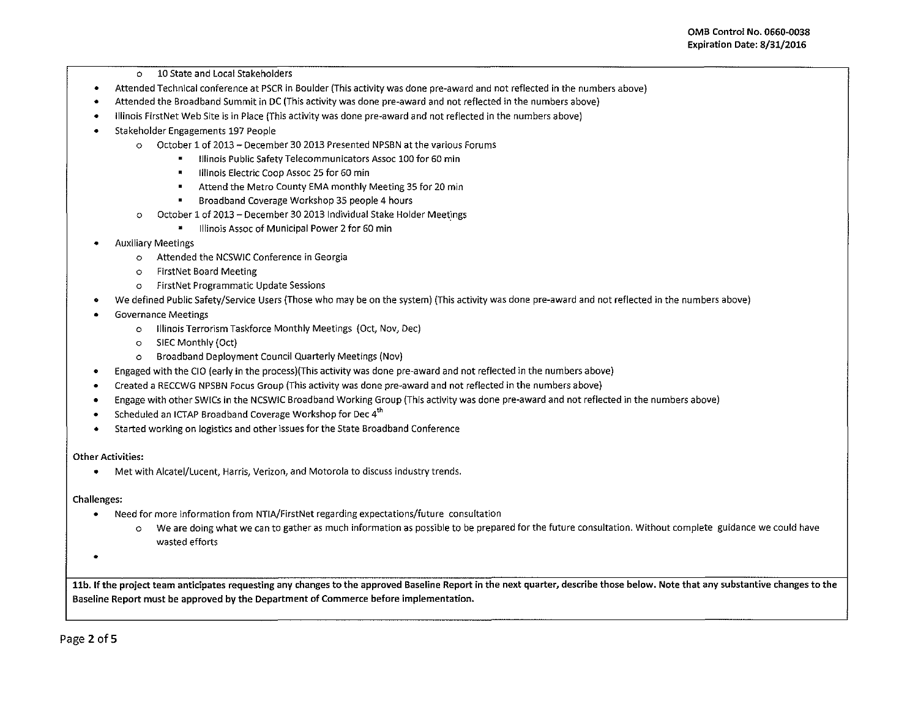- o 10 State and Local Stakeholders
- Attended Technical conference at PSCR in Boulder (This activity was done pre-award and not reflected in the numbers above)
- Attended the Broadband Summit in DC (This activity was done pre-award and not reflected in the numbers above)
- Illinois FirstNet Web Site is in Place (This activity was done pre-award and not reflected in the numbers above)
- Stakeholder Engagements 197 People
	- o October 1 of 2013- December 30 2013 Presented NPSBN at the various Forums
		- $\blacksquare$ Illinois Public SafetyTelecommunicators Assoc 100 for 60 min
			- Illinois Electric Coop Assoc 25 for 60 min
		- $\blacksquare$ Attend the Metro County EMA monthly Meeting 35 for 20 min
		- Broadband Coverage Workshop 35 people 4 hours  $\blacksquare$
	- October 1 of 2013 December 30 2013 Individual Stake Holder Meetings
		- Illinois Assoc of Municipal Power 2 for 60 min
- Auxiliary Meetings
	- o Attended the NCSWJC Conference in Georgia
	- o FirstNet Board Meeting
	- o FirstNet Programmatic Update Sessions
- We defined Public Safety/Service Users (Those who may be on the system) (This activity was done pre-award and not reflected in the numbers above)
- Governance Meetings
	- o Illinois Terrorism Taskforce Monthly Meetings (Oct, Nov, Dec)
	- o SIEC Monthly (Oct)
	- o Broadband Deployment Council Quarterly Meetings (Nov)
- Engaged with the CIO (early in the process)(This activity was done pre-award and not reflected in the numbers above)
- Created a RECCWG NPSBN Focus Group {This activity was done pre-award and not reflected in the numbers above)
- Engage with other SW!Cs in the NCSWIC Broadband Working Group (This activity was done pre-award and not reflected in the numbers above)
- Scheduled an ICTAP Broadband Coverage Workshop for Dec  $4<sup>th</sup>$
- Started working on logistics and other issues for the State Broadband Conference

# Other Activities:

• Met with Alcatel/Lucent, Harris, Verizon, and Motorola to discuss industry trends.

# Challenges:

- Need for more information from NTJA/FirstNet regarding expectations/future consultation
	- o We are doing what we can to gather as much information as possible to be prepared for the future consultation. Without complete guidance we could have wasted efforts
- •

11b. If the project team anticipates requesting any changes to the approved Baseline Report in the next quarter, describe those below. Note that any substantive changes to the Baseline Report must be approved by the Department of Commerce before implementation.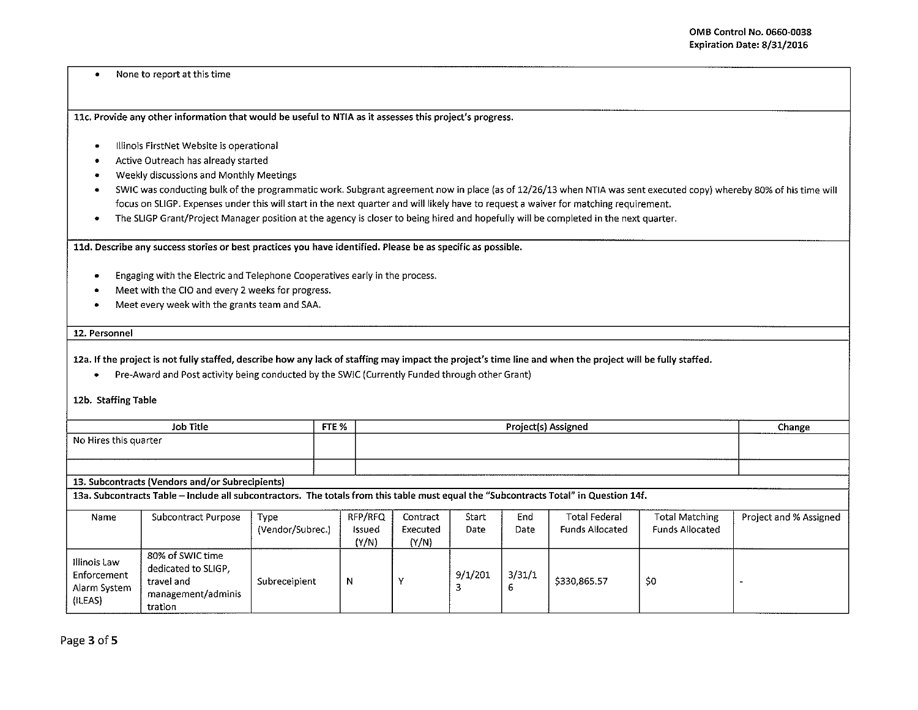• None to report at this time

llc. Provide any other information that would be useful to NTIA as it assesses this project's progress.

- Illinois FirstNet Website is operational
- Active Outreach has already started
- Weekly discussions and Monthly Meetings
- SWIC was conducting bulk of the programmatic work. Subgrant agreement now in place (as of 12/26/13 when NTIA was sent executed copy} whereby 80% of his time will focus on SUGP. Expenses under this will start in the next quarter and will likely have to request a waiver for matching requirement.
- The SUGP Grant/Project Manager position at the agency is closer to being hired and hopefully will be completed in the next quarter .

lld. Describe any success stories or best practices you have identified. Please be as specific as possible.

- Engaging with the Electric and Telephone Cooperatives early in the process .
- Meet with the CIO and every 2 weeks for progress .
- Meet every week with the grants team and SAA.

### 12. Personnel

12a. If the project is not fully staffed, describe how any lack of staffing may impact the project's time line and when the project will be fully staffed.

• Pre-Award and Post activity being conducted by the SWIC (Currently Funded through other Grant)

## 1Zb. Staffing Table

| Job Title             | FTE % | <b>Project(s) Assigned</b> | Change<br>--------- |
|-----------------------|-------|----------------------------|---------------------|
| No Hires this quarter |       |                            |                     |
|                       |       |                            |                     |

## 13. Subcontracts (Vendors and/or Subrecipients)

13a. Subcontracts Table -Include all subcontractors. The totals from this table must equal the "Subcontracts Total" in Question 14f.

| Name                                                   | Subcontract Purpose                                                                    | Type             | RFP/RFQ | Contract | Start   | End    | <b>Total Federal</b> | Total Matching         | Project and % Assigned |
|--------------------------------------------------------|----------------------------------------------------------------------------------------|------------------|---------|----------|---------|--------|----------------------|------------------------|------------------------|
|                                                        |                                                                                        | (Vendor/Subrec.) | Issued  | Executed | Date    | Date   | Funds Allocated      | <b>Funds Allocated</b> |                        |
|                                                        |                                                                                        |                  | (Y/N)   | (Y/N)    |         |        |                      |                        |                        |
| Illinois Law<br>Enforcement<br>Alarm System<br>(ILEAS) | 80% of SWIC time<br>dedicated to SLIGP.<br>travel and<br>management/adminis<br>tration | Subreceipient    | N       |          | 9/1/201 | 3/31/1 | \$330.865.57         | \$0                    |                        |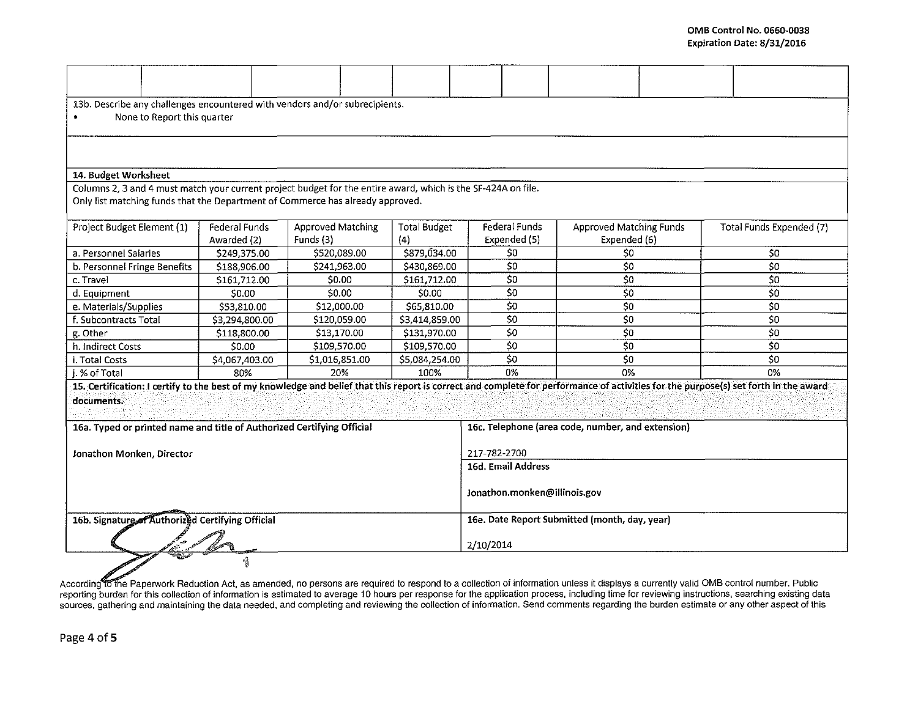| 13b. Describe any challenges encountered with vendors and/or subrecipients.<br>None to Report this quarter    |                |                   |                                               |                                                   |                                                                                                                                                                                      |                          |  |  |  |
|---------------------------------------------------------------------------------------------------------------|----------------|-------------------|-----------------------------------------------|---------------------------------------------------|--------------------------------------------------------------------------------------------------------------------------------------------------------------------------------------|--------------------------|--|--|--|
|                                                                                                               |                |                   |                                               |                                                   |                                                                                                                                                                                      |                          |  |  |  |
|                                                                                                               |                |                   |                                               |                                                   |                                                                                                                                                                                      |                          |  |  |  |
|                                                                                                               |                |                   |                                               |                                                   |                                                                                                                                                                                      |                          |  |  |  |
| 14. Budget Worksheet                                                                                          |                |                   |                                               |                                                   |                                                                                                                                                                                      |                          |  |  |  |
| Columns 2, 3 and 4 must match your current project budget for the entire award, which is the SF-424A on file. |                |                   |                                               |                                                   |                                                                                                                                                                                      |                          |  |  |  |
| Only list matching funds that the Department of Commerce has already approved.                                |                |                   |                                               |                                                   |                                                                                                                                                                                      |                          |  |  |  |
|                                                                                                               |                |                   |                                               |                                                   |                                                                                                                                                                                      |                          |  |  |  |
| Project Budget Element (1)                                                                                    | Federal Funds  | Approved Matching | <b>Total Budget</b>                           | Federal Funds                                     | <b>Approved Matching Funds</b>                                                                                                                                                       | Total Funds Expended (7) |  |  |  |
|                                                                                                               | Awarded (2)    | Funds (3)         | (4)                                           | Expended (5)                                      | Expended (6)                                                                                                                                                                         |                          |  |  |  |
| a. Personnel Salaries                                                                                         | \$249,375.00   | \$520,089.00      | \$879,034.00                                  | \$0                                               | \$0                                                                                                                                                                                  | \$0                      |  |  |  |
| b. Personnel Fringe Benefits                                                                                  | \$188,906.00   | \$241,963.00      | \$430,869.00                                  | 50                                                | \$0                                                                                                                                                                                  | 50                       |  |  |  |
| c. Travel                                                                                                     | 5161,712.00    | \$0.00            | \$161,712.00                                  | \$0                                               | 50                                                                                                                                                                                   | 50                       |  |  |  |
| d. Equipment                                                                                                  | \$0.00         | \$0.00            | \$0.00                                        | $\overline{\xi_0}$                                | 50                                                                                                                                                                                   | $\overline{50}$          |  |  |  |
| e. Materials/Supplies                                                                                         | \$53,810.00    | \$12,000.00       | \$65,810.00                                   | \$0                                               | 50                                                                                                                                                                                   | 50                       |  |  |  |
| f. Subcontracts Total                                                                                         | \$3,294,800.00 | \$120,059.00      | \$3,414,859.00                                | 50                                                | 50                                                                                                                                                                                   | 50                       |  |  |  |
| g. Other                                                                                                      | \$118,800.00   | \$13,170.00       | \$131,970.00                                  | \$0                                               | 50                                                                                                                                                                                   | \$0                      |  |  |  |
| h. Indirect Costs                                                                                             | \$0.00         | \$109,570.00      | \$109,570.00                                  | \$0                                               | 50                                                                                                                                                                                   | 50                       |  |  |  |
| i. Total Costs                                                                                                | \$4,067,403.00 | \$1,016,851.00    | \$5,084,254.00                                | \$0                                               | S <sub>0</sub>                                                                                                                                                                       | 50                       |  |  |  |
| i. % of Total                                                                                                 | 80%            | 20%               | 100%                                          | 0 <sub>6</sub>                                    | 0%                                                                                                                                                                                   | 0%                       |  |  |  |
|                                                                                                               |                |                   |                                               |                                                   | 15. Certification: I certify to the best of my knowledge and belief that this report is correct and complete for performance of activities for the purpose(s) set forth in the award |                          |  |  |  |
| documents.                                                                                                    |                |                   |                                               |                                                   |                                                                                                                                                                                      |                          |  |  |  |
|                                                                                                               |                |                   |                                               |                                                   |                                                                                                                                                                                      |                          |  |  |  |
| 16a. Typed or printed name and title of Authorized Certifying Official                                        |                |                   |                                               | 16c. Telephone (area code, number, and extension) |                                                                                                                                                                                      |                          |  |  |  |
|                                                                                                               |                |                   |                                               |                                                   |                                                                                                                                                                                      |                          |  |  |  |
| Jonathon Monken, Director                                                                                     |                |                   |                                               | 217-782-2700                                      |                                                                                                                                                                                      |                          |  |  |  |
|                                                                                                               |                |                   |                                               | 16d. Email Address                                |                                                                                                                                                                                      |                          |  |  |  |
|                                                                                                               |                |                   |                                               |                                                   |                                                                                                                                                                                      |                          |  |  |  |
|                                                                                                               |                |                   |                                               | Jonathon.monken@illinois.gov                      |                                                                                                                                                                                      |                          |  |  |  |
| 16b. Signature of Authorized Certifying Official                                                              |                |                   | 16e. Date Report Submitted (month, day, year) |                                                   |                                                                                                                                                                                      |                          |  |  |  |
|                                                                                                               |                |                   |                                               | 2/10/2014                                         |                                                                                                                                                                                      |                          |  |  |  |
|                                                                                                               |                |                   |                                               |                                                   |                                                                                                                                                                                      |                          |  |  |  |
|                                                                                                               |                |                   |                                               |                                                   |                                                                                                                                                                                      |                          |  |  |  |

reporting burden for this collection of information is estimated to average 10 hours per response for the application process, including time for reviewing instructions, searching existing data sources, gathering and maintaining the data needed, and completing and reviewing the collection of information. Send comments regarding the burden estimate or any other aspect of this

Page 4 of 5